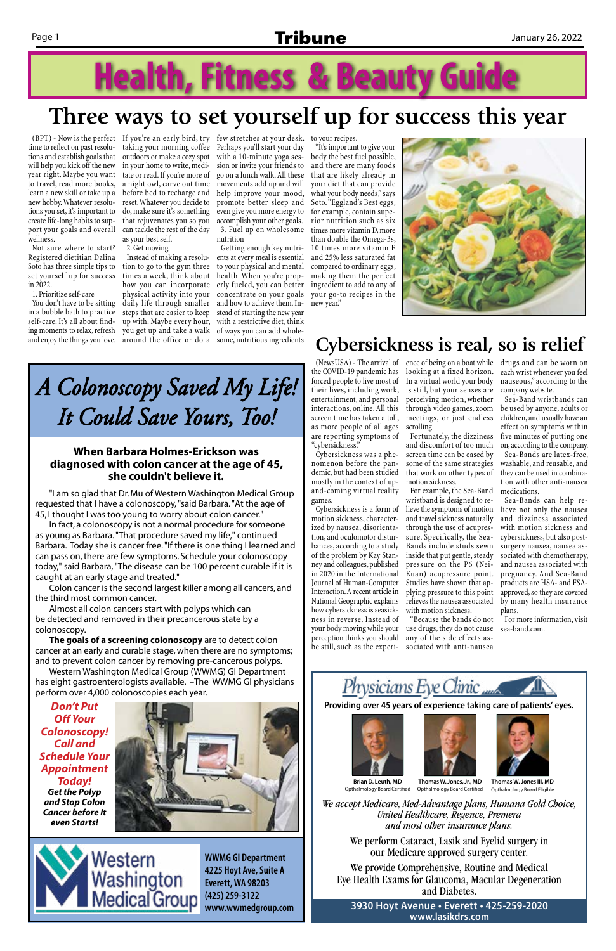### Page 1 **Tribune** January 26, 2022

# **Health, Fitness & Beauty Guide**

time to reflect on past resolutions and establish goals that will help you kick off the new year right. Maybe you want to travel, read more books, learn a new skill or take up a new hobby. Whatever resolutions you set, it's important to create life-long habits to support your goals and overall wellness.

Not sure where to start? Registered dietitian Dalina Soto has three simple tips to set yourself up for success in 2022.

1. Prioritize self-care

(BPT) - Now is the perfect If you're an early bird, try few stretches at your desk. to your recipes. taking your morning coffee Perhaps you'll start your day outdoors or make a cozy spot with a 10-minute yoga sesin your home to write, meditate or read. If you're more of a night owl, carve out time movements add up and will before bed to recharge and help improve your mood, reset. Whatever you decide to promote better sleep and do, make sure it's something even give you more energy to that rejuvenates you so you accomplish your other goals. can tackle the rest of the day as your best self.

You don't have to be sitting in a bubble bath to practice self-care. It's all about finding moments to relax, refresh and enjoy the things you love.

2. Get moving

Instead of making a resolution to go to the gym three to your physical and mental times a week, think about health. When you're prophow you can incorporate erly fueled, you can better physical activity into your concentrate on your goals daily life through smaller and how to achieve them. Insteps that are easier to keep stead of starting the new year up with. Maybe every hour, with a restrictive diet, think you get up and take a walk of ways you can add wholearound the office or do a some, nutritious ingredients

sion or invite your friends to go on a lunch walk. All these 3. Fuel up on wholesome

nutrition Getting enough key nutrients at every meal is essential

"It's important to give your body the best fuel possible, and there are many foods that are likely already in your diet that can provide what your body needs," says Soto. "Eggland's Best eggs, for example, contain superior nutrition such as six times more vitamin D, more than double the Omega-3s, 10 times more vitamin E and 25% less saturated fat compared to ordinary eggs, making them the perfect ingredient to add to any of your go-to recipes in the new year."



## **Three ways to set yourself up for success this year**

the COVID-19 pandemic has looking at a fixed horizon. forced people to live most of In a virtual world your body their lives, including work, is still, but your senses are entertainment, and personal interactions, online. All this through video games, zoom screen time has taken a toll, meetings, or just endless as more people of all ages scrolling. are reporting symptoms of "cybersickness."

Cybersickness was a phenomenon before the pandemic, but had been studied mostly in the context of upand-coming virtual reality games.

(NewsUSA) - The arrival of ence of being on a boat while drugs and can be worn on each wrist whenever you feel nauseous," according to the company website.

perceiving motion, whether

Cybersickness is a form of motion sickness, characterized by nausea, disorientation, and oculomotor disturbances, according to a study of the problem by Kay Stanney and colleagues, published in 2020 in the International Journal of Human-Computer Interaction. A recent article in National Geographic explains how cybersickness is seasickness in reverse. Instead of your body moving while your use drugs, they do not cause perception thinks you should any of the side effects asbe still, such as the experi-sociated with anti-nausea

Fortunately, the dizziness and discomfort of too much screen time can be eased by some of the same strategies that work on other types of motion sickness.

For example, the Sea-Band wristband is designed to relieve the symptoms of motion and travel sickness naturally through the use of acupressure. Specifically, the Sea-Bands include studs sewn inside that put gentle, steady pressure on the P6 (Nei-Kuan) acupressure point. Studies have shown that applying pressure to this point relieves the nausea associated with motion sickness.

"Because the bands do not

Leuth, MD Thomas W. Jones, Jr., MD Thomas W. Jones III, MD Opthalmology Board Eligible

We accept Medicare, Med-Advantage plans, Humana Gold Choice, *United Healthcare, Regence, Premera and most United Healthcare, Regence, Premera and most United Healthcare, Regence, Premera and most United Healthcare, Regence, Premera other insurance plans. other insurance plans. other insurance plans. and most other insurance plans.*

Sea-Band wristbands can be used by anyone, adults or children, and usually have an effect on symptoms within five minutes of putting one on, according to the company. Sea-Bands are latex-free, washable, and reusable, and they can be used in combination with other anti-nausea medications.

Sea-Bands can help relieve not only the nausea and dizziness associated with motion sickness and cybersickness, but also postsurgery nausea, nausea associated with chemotherapy, and nausea associated with pregnancy. And Sea-Band products are HSA- and FSAapproved, so they are covered by many health insurance plans.

For more information, visit sea-band.com.



## **Cybersickness is real, so is relief**

*A Colonoscopy Saved My Life! It Could Save Yours, Too!*

"I am so glad that Dr. Mu of Western Washington Medical Group requested that I have a colonoscopy, "said Barbara. "At the age of 45, I thought I was too young to worry about colon cancer."

In fact, a colonoscopy is not a normal procedure for someone as young as Barbara. "That procedure saved my life," continued Barbara. Today she is cancer free. "If there is one thing I learned and can pass on, there are few symptoms. Schedule your colonoscopy today," said Barbara, "The disease can be 100 percent curable if it is caught at an early stage and treated."

Colon cancer is the second largest killer among all cancers, and the third most common cancer.

Almost all colon cancers start with polyps which can be detected and removed in their precancerous state by a colonoscopy.

**The goals of a screening colonoscopy** are to detect colon cancer at an early and curable stage, when there are no symptoms; and to prevent colon cancer by removing pre-cancerous polyps.

Western Washington Medical Group (WWMG) GI Department has eight gastroenterologists available. –The WWMG GI physicians perform over 4,000 colonoscopies each year.

> **WWMG GI Department 4225 Hoyt Ave, Suite A Everett, WA 98203 (425) 259-3122 www.wwmedgroup.com**

Providing over 45 years of experience taking care of patients' eyes.







#### **When Barbara Holmes-Erickson was diagnosed with colon cancer at the age of 45, she couldn't believe it.**

*Don't Put Off Your Colonoscopy! Call and Schedule Your Appointment Today! Get the Polyp and Stop Colon Cancer before It even Starts!*





*We take Medicare, Med-Advantage plans, We take Medicare, Med-Advantage plans,*  Opthalmology Board Certified *We take Medicare, Med-Advantage plans,*  rian D. Leuth, MD Thomas W. Jones, Jr., MD Thomas W. Jones II **Brian D. Leuth, MD** Opthalmology Board Certified

**3930 Hoyt Avenue • Everett • 425-259-2020**  $\blacksquare$ **3930 Www.lasikdrs.com 425.259.2020 425.259.2020 425.259.2020**

**We perform Cataract, Lasik and Eyelid surgery We perform Cataract, Lasik and Eyelid surgery We perform Cataract, Lasik and Eyelid surgery**  We perform Cataract, Lasik and Eyelid surgery in **in our Medicare approved surgery center. in our Medicare approved surgery center. in our Medicare approved surgery center.** our Medicare approved surgery center.

We provide Comprehensive, Routine, and Medical Eye Health Exams for Glaucoma, Macular Degeneration **Macular Degeneration and Diabetes.**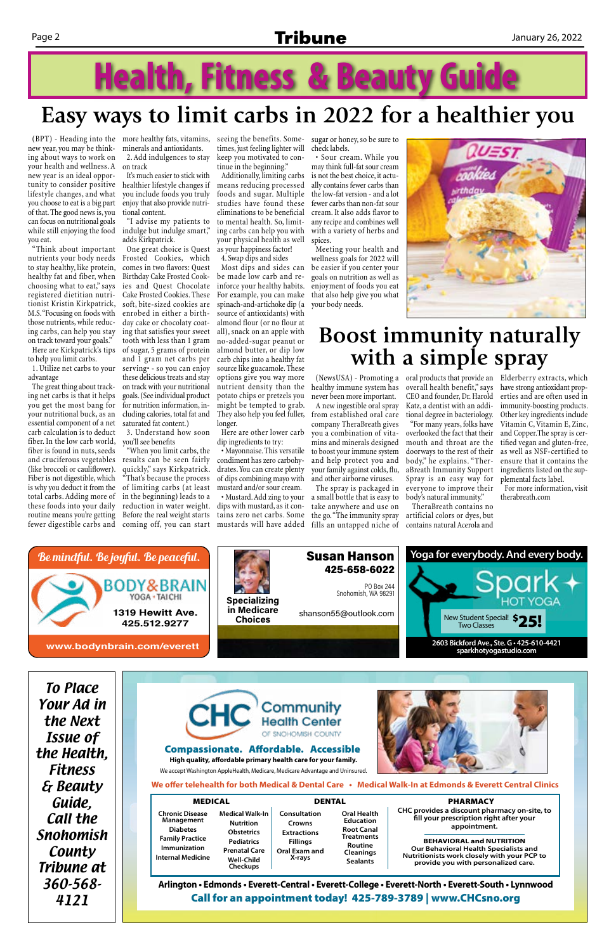### Page 2 **Tribune** January 26, 2022

# **Health, Fitness & Beauty Guide**

new year, you may be thinking about ways to work on your health and wellness. A new year is an ideal opportunity to consider positive lifestyle changes, and what you choose to eat is a big part of that. The good news is, you can focus on nutritional goals while still enjoying the food you eat.

"Think about important nutrients your body needs to stay healthy, like protein, healthy fat and fiber, when choosing what to eat," says registered dietitian nutritionist Kristin Kirkpatrick, M.S. "Focusing on foods with those nutrients, while reducing carbs, can help you stay on track toward your goals."

Here are Kirkpatrick's tips to help you limit carbs. 1. Utilize net carbs to your

advantage The great thing about track-

ing net carbs is that it helps you get the most bang for your nutritional buck, as an essential component of a net carb calculation is to deduct fiber. In the low carb world, fiber is found in nuts, seeds and cruciferous vegetables results can be seen fairly (like broccoli or cauliflower). Fiber is not digestible, which is why you deduct it from the total carbs. Adding more of these foods into your daily routine means you're getting fewer digestible carbs and

(BPT) - Heading into the more healthy fats, vitamins, seeing the benefits. Sometimes, just feeling lighter will keep you motivated to continue in the beginning."

minerals and antioxidants. 2. Add indulgences to stay

on track It's much easier to stick with

healthier lifestyle changes if you include foods you truly enjoy that also provide nutritional content.

"I advise my patients to indulge but indulge smart," adds Kirkpatrick.

One great choice is Quest Frosted Cookies, which comes in two flavors: Quest Birthday Cake Frosted Cookies and Quest Chocolate Cake Frosted Cookies. These soft, bite-sized cookies are enrobed in either a birthday cake or chocolaty coating that satisfies your sweet tooth with less than 1 gram of sugar, 5 grams of protein and 1 gram net carbs per serving• - so you can enjoy these delicious treats and stay on track with your nutritional goals. (See individual product for nutrition information, including calories, total fat and saturated fat content.)

3. Understand how soon you'll see benefits

Additionally, limiting carbs means reducing processed foods and sugar. Multiple studies have found these eliminations to be beneficial to mental health. So, limiting carbs can help you with your physical health as well as your happiness factor!

Your Ad in the Next Issue of the Health, Fitness & Beauty Guide, Call the Snohomish **County** Tribune at 360-568- 1319 Hewitt Ave.<br>
425.512.9277<br>
ww.bodynbrain.com/everett<br>
17 Ad in<br>
18 Next<br>
Sue of<br>
P. Health,<br>
Fitness<br>
Beauty<br>
Guide,<br>
all the<br>
Dhomish<br>
County<br>
Dune at<br>
For Supplement<br>
Dialeter of Management<br>
County<br>
Dune at<br>
For Sup

"When you limit carbs, the quickly," says Kirkpatrick. "That's because the process of limiting carbs (at least in the beginning) leads to a reduction in water weight. dips with mustard, as it con-

Before the real weight starts tains zero net carbs. Some coming off, you can start mustards will have added fills an untapped niche of • Mustard. Add zing to your

4. Swap dips and sides Most dips and sides can be made low carb and reinforce your healthy habits. For example, you can make spinach-and-artichoke dip (a source of antioxidants) with almond flour (or no flour at all), snack on an apple with no-added-sugar peanut or almond butter, or dip low carb chips into a healthy fat source like guacamole. These options give you way more nutrient density than the potato chips or pretzels you might be tempted to grab. They also help you feel fuller, longer.

Here are other lower carb dip ingredients to try:

• Mayonnaise. This versatile condiment has zero carbohydrates. You can create plenty of dips combining mayo with mustard and/or sour cream.

sugar or honey, so be sure to check labels.

• Sour cream. While you may think full-fat sour cream is not the best choice, it actually contains fewer carbs than the low-fat version - and a lot fewer carbs than non-fat sour cream. It also adds flavor to any recipe and combines well with a variety of herbs and spices.

Meeting your health and wellness goals for 2022 will be easier if you center your goals on nutrition as well as enjoyment of foods you eat that also help give you what your body needs.



## **Easy ways to limit carbs in 2022 for a healthier you**

healthy immune system has never been more important. A new ingestible oral spray from established oral care company TheraBreath gives you a combination of vitamins and minerals designed to boost your immune system and help protect you and your family against colds, flu, and other airborne viruses.

The spray is packaged in a small bottle that is easy to take anywhere and use on the go. "The immunity spray

overall health benefit," says CEO and founder, Dr. Harold Katz, a dentist with an additional degree in bacteriology.

(NewsUSA) - Promoting a oral products that provide an Elderberry extracts, which have strong antioxidant properties and are often used in immunity-boosting products. Other key ingredients include Vitamin C, Vitamin E, Zinc, and Copper.The spray is certified vegan and gluten-free, as well as NSF-certified to ensure that it contains the ingredients listed on the supplemental facts label.

"For many years, folks have overlooked the fact that their mouth and throat are the doorways to the rest of their body," he explains. "TheraBreath Immunity Support Spray is an easy way for everyone to improve their body's natural immunity."

 TheraBreath contains no artificial colors or dyes, but contains natural Acerola and

For more information, visit therabreath.com

## **Boost immunity naturally with a simple spray**

To Place





**Arlington • Edmonds • Everett-Central • Everett-College • Everett-North • Everett-South • Lynnwood**  Call for an appointment today! 425-789-3789 | www.CHCsno.org

| <b>MEDICAL</b>                                                                                                                       |                                                                                                                                                      | <b>DENTAL</b>                                                                              |                                                                                                                             | <b>PHARMACY</b>                                                                                                                                                                                                                                                           |
|--------------------------------------------------------------------------------------------------------------------------------------|------------------------------------------------------------------------------------------------------------------------------------------------------|--------------------------------------------------------------------------------------------|-----------------------------------------------------------------------------------------------------------------------------|---------------------------------------------------------------------------------------------------------------------------------------------------------------------------------------------------------------------------------------------------------------------------|
| <b>Chronic Disease</b><br>Management<br><b>Diabetes</b><br><b>Family Practice</b><br><b>Immunization</b><br><b>Internal Medicine</b> | <b>Medical Walk-In</b><br><b>Nutrition</b><br><b>Obstetrics</b><br><b>Pediatrics</b><br><b>Prenatal Care</b><br><b>Well-Child</b><br><b>Checkups</b> | Consultation<br>Crowns<br><b>Extractions</b><br><b>Fillings</b><br>Oral Exam and<br>X-rays | <b>Oral Health</b><br><b>Education</b><br><b>Root Canal</b><br>Treatments<br>Routine<br><b>Cleanings</b><br><b>Sealants</b> | CHC provides a discount pharmacy on-site, to<br>fill your prescription right after your<br>appointment.<br><b>BEHAVIORAL and NUTRITION</b><br>Our Behavioral Health Specialists and<br>Nutritionists work closely with your PCP to<br>provide you with personalized care. |

We accept Washington AppleHealth, Medicare, Medicare Advantage and Uninsured.



**High quality, affordable primary health care for your family.** Compassionate. Affordable. Accessible

#### **We offer telehealth for both Medical & Dental Care • Medical Walk-In at Edmonds & Everett Central Clinics**